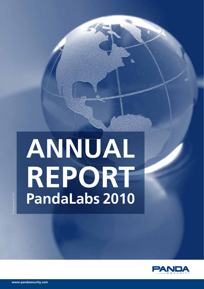# **ANNUAL REPORT PandaLabs 2010**



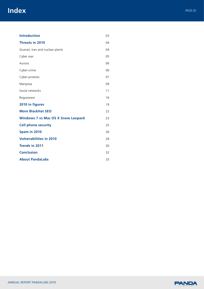# **Index** *PAGE.02*

| <b>Introduction</b>                       | 03 |
|-------------------------------------------|----|
| <b>Threats in 2010</b>                    | 04 |
| Stuxnet, Iran and nuclear plants          | 04 |
| Cyber war                                 | 05 |
| Aurora                                    | 06 |
| Cyber-crime                               | 06 |
| Cyber-protests                            | 07 |
| Mariposa                                  | 09 |
| Social networks                           | 11 |
| Rogueware                                 | 16 |
| 2010 in figures                           | 19 |
| <b>More BlackHat SEO</b>                  | 22 |
| <b>Windows 7 vs Mac OS X Snow Leopard</b> | 23 |
| <b>Cell phone security</b>                | 25 |
| Spam in 2010                              | 26 |
| <b>Vulnerabilities in 2010</b>            | 28 |
| <b>Trends in 2011</b>                     | 30 |
| <b>Conclusion</b>                         | 32 |
| <b>About PandaLabs</b>                    | 33 |

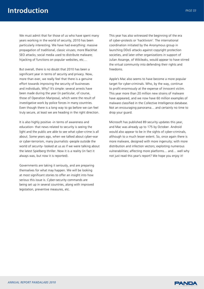We must admit that for those of us who have spent many years working in the world of security, 2010 has been particularly interesting. We have had everything: massive propagation of traditional, classic viruses; more BlackHat SEO attacks; social media used to distribute malware; hijacking of functions on popular websites, etc…

But overall, there is no doubt that 2010 has been a significant year in terms of security and privacy. Now, more than ever, we really feel that there is a genuine effort towards improving the security of businesses and individuals. Why? It's simple: several arrests have been made during the year (in particular, of course, those of Operation Mariposa), which were the result of investigative work by police forces in many countries. Even though there is a long way to go before we can feel truly secure, at least we are heading in the right direction.

It is also highly positive -in terms of awareness and education- that news related to security is seeing the light and the public are able to see what cyber-crime is all about. Some years ago, when we talked about cyber-war or cyber-terrorism, many journalists -people outside the world of security- looked at us as if we were talking about the latest Spielberg thriller. Now it is a reality (in fact it always was, but now it is reported).

Governments are taking it seriously, and are preparing themselves for what may happen. We will be looking at most significant stories to offer an insight into how serious this issue is. Cyber-security commands are being set up in several countries, along with improved legislation, preventive measures, etc.

This year has also witnessed the beginning of the era of cyber-protests or 'hacktivism'. The international coordination initiated by the Anonymous group in launching DDoS attacks against copyright protection societies, and later other organizations in support of Julian Assange, of Wikileaks, would appear to have stirred the virtual community into defending their rights and freedoms.

Apple's Mac also seems to have become a more popular target for cyber-criminals. Who, by the way, continue to profit enormously at the expense of innocent victim. This year more than 20 million new strains of malware have appeared, and we now have 60 million examples of malware classified in the Collective Intelligence database. Not an encouraging panorama… and certainly no time to drop your guard.

Microsoft has published 89 security updates this year, and Mac was already up to 175 by October. Android would also appear to be in the sights of cyber-criminals, although to a much lesser extent. So, once again there is more malware, designed with more ingenuity; with more distribution and infection vectors; exploiting numerous vulnerabilities; affecting more platforms… and… well why not just read this year's report? We hope you enjoy it!

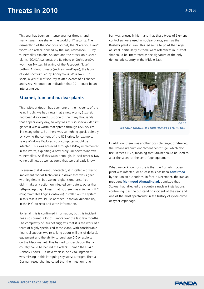This year has been an intense year for threats, and many issues have shaken the world of IT security. The dismantling of the Mariposa botnet, the "Here you Have" worm –an attack claimed by the Iraqi resistance-, 0-Day vulnerability exploits, Stuxnet and the attack on nuclear plants (SCADA systems), the Rainbow or OnMouseOver worm on Twitter, hijacking of the Facebook "Like" button, Android threats (such as FakePlayer), the launch of cyber-activism led by Anonymous, Wikileaks… In short, a year full of security-related events of all shapes and sizes. No doubt an indication that 2011 could be an interesting year.

## **Stuxnet, Iran and nuclear plants**

This, without doubt, has been one of the incidents of the year. In July, we had news that a new worm, Stuxnet, had been discovered. Just one of the many thousands that appear every day, so why was this so special? At first glance it was a worm that spread through USB devices, like many others. But there was something special: simply by viewing the content of the USB drive, for example, using Windows Explorer, your computer would be infected. This was achieved through a 0-Day implemented in the worm, exploiting a previously unknown Windows vulnerability. As if this wasn't enough, it used other 0-Day vulnerabilities, as well as some that were already known.

To ensure that it went undetected, it installed a driver to implement rootkit techniques, a driver that was signed with legitimate -but stolen- digital signatures. Yet it didn't take any action on infected computers, other than self-propagating. Unless, that is, there was a Siemens PLC (Programmable Logic Controller) installed on the system. In this case it would use another unknown vulnerability, in the PLC, to read and write information.

So far all this is confirmed information, but this incident has also spurred a lot of rumors over the last few months. The complexity of Stuxnet suggests that it is the work of a team of highly specialized technicians, with considerable financial support (we're talking about millions of dollars), equipment and the ability to purchase 0-Day exploits on the black market. This has led to speculation that a country could be behind the attack. China? the USA? Nobody knows. But nevertheless, one vital ingredient was missing in this intriguing spy story: a target. Then a German researcher indicated that the infection ratio in

Iran was unusually high, and that these types of Siemens controllers were used in nuclear plants, such as the Bushehr plant in Iran. This led some to point the finger at Israel, particularly as there were references in Stuxnet that could be interpreted as the signature of the only democratic country in the Middle East.



*NATANZ URANIUM ENRICHMENT CENTRIFUGE*

In addition, there was another possible target of Stuxnet, the Natanz uranium enrichment centrifuge, which also use Siemens PLCs, meaning that Stuxnet could be used to alter the speed of the centrifuge equipment.

What we do know for sure is that the Bushehr nuclear plant was infected, or at least this has been **confirmed**  by the Iranian authorities. In fact in December, the Iranian president **Mahmoud Ahmadinejad**, admitted that Stuxnet had affected the country's nuclear installations, confirming it as the outstanding incident of the year and one of the most spectacular in the history of cyber-crime or cyber-espionage.

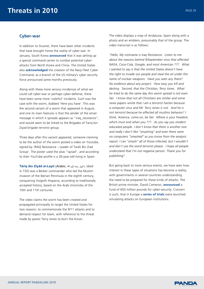## **Cyber-war**

In addition to Stuxnet, there have been other incidents that have brought home the reality of cyber-war. In January, South Korea **announced** that it was setting up a special command center to combat potential cyberattacks from North Korea and China. The United States also **acknowledged** the creation of the Navy Fleet Cyber Command, as a branch of the US military's cyber security force announced some months previously.

Along with these more serious incidences of what we could call cyber-war or perhaps cyber-defense, there have been some more 'colorful' incidents. Such was the case with the worm, dubbed 'Here you have'. This was the second variant of a worm that appeared in August, and one its main features is that the sender of the email message in which it spreads appears as "iraq\_resistance", and would seem to be linked to the Brigades of Tariq bin Ziyad brigade terrorist group.

Three days after this variant appeared, someone claiming to be the author of the worm posted a video on Youtube, signed by 'IRAQ Resistance – Leader of Tarek Bin Ziad Group'. The poster used the alias "iqziad", and according to their YouTube profile is a 26-year-old living in Spain.

**Tāriq ibn Ziyād al-Layti** (Arabic, قراط نب دايز,) died in 720) was a Berber commander who led the Muslim invasion of the Iberian Peninsula in the eighth century, conquering Visigoth Hispania, according to traditionally accepted history, based on the Arab chronicles of the 10th and 11th centuries.

The video claims the worm has been created and propagated principally to target the United States for two reasons: to commemorate the 9/11 attacks and to demand respect for Islam, with reference to the threat made by pastor Terry Jones to burn the Koran.

The video displays a map of Andalusia, Spain along with a photo and an emblem, presumably that of the group. The video transcript is as follows:

*"Hello, My nickname is Iraq Resistance. Listen to me about the reasons behind 9/September virus that affected NASA, Coca-Cola, Google, and most American ???. What I wanted to say is that the United States doesn't have the right to invade our people and steal the oil under the name of nuclear weapons. Have you seen any there? No evidence about any project. How easy you kill and destroy. Second, that the Christian, Terry Jones. What he tried to do the same day this worm spread is not even fair. I know that not all Christians are similar and some news papers wrote that I am a terrorist hacker because a computer virus and Mr. Terry Jones is not. And he is not terrorist because he affected all muslims behavior? I think, America, come on, be fair. Where is your freedom, which must end when you ???. As you say you modern educated people. I don't know that there is another one and really I don't like "smashing" and even there were no computers "smashed" as you know from the analysis report. I can "smash" all of those infected, but I wouldn't and don't use the word terrorist please. I hope all people understand that I'm not negative person. Thank you for publishing".*

But going back to more serious events, we have seen how interest in these types of situations has become a reality, with governments in several countries understanding the need to be prepared for these kinds of attacks. The British prime minister, David Cameron, **announced** a fund of 650 million pounds for cyber-security. Concern is such, that in Europe a **series of trials** were launched simulating attacks on European institutions.

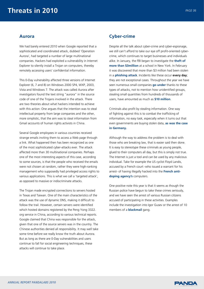# **Aurora**

We had barely entered 2010 when Google reported that a sophisticated and coordinated attack, dubbed 'Operation Aurora', had targeted a number of large multinational companies. Hackers had exploited a vulnerability in Internet Explorer to silently install a Trojan on computers, thereby remotely accessing users' confidential information.

This 0-Day vulnerability affected three versions of Internet Explorer (6, 7 and 8) on Windows 2000 SP4, WXP, 2003, Vista and Windows 7. The attack was called Aurora after investigators found the text string "aurora" in the source code of one of the Trojans involved in the attack. There are two theories about what hackers intended to achieve with this action: One argues that the intention was to steal intellectual property from large companies and the other, more simplistic, that the aim was to steal information from Gmail accounts of human rights activists in China.

Several Google employees in various countries received strange emails inviting them to access a Web page through a link. What happened then has been recognized as one of the most sophisticated cyber-attacks ever. The attack affected more than 30 multinational companies. Perhaps one of the most interesting aspects of this case, according to some sources, is that the people who received the emails were not chosen at random, rather they were high-ranking management who supposedly had privileged access rights to various applications. This is what we call a 'targeted attack', as opposed to massive or indiscriminate attacks.

The Trojan made encrypted connections to servers hosted in Texas and Taiwan. One of the main characteristics of the attack was the use of dynamic DNS, making it difficult to follow the trail. However, certain servers were identified which hosted domains registered by the Peng Yong 3322. org service in China, according to various technical reports. Google claimed that China was responsible for the attack, given that one of the source servers was in the country. The Chinese authorities denied all responsibility. It may well take some time before we really know the truth about Aurora. But as long as there are 0-Day vulnerabilities and users continue to fall for social engineering techniques, these attacks will continue to take place.

# **Cyber-crime**

Despite all the talk about cyber-crime and cyber-espionage, we still can't afford to take our eye off profit-oriented cybercrime, which continues to target businesses and individuals alike. In January, the FBI began to investigate the **theft of more than \$3million** at a school in New York. In February it was discovered that more than \$3 million had been stolen in a **phishing attack**. Incidents like these occur **every day**; they are not exceptional cases. Throughout the year we have seen numerous small companies **go under** thanks to these types of attacks, not to mention how unidentified groups, stealing small quantities from hundreds of thousands of users, have amounted as much as **\$10 million**.

Criminals also profit by stealing information. One way of fighting against this is to combat the trafficking of information, no easy task, especially when it turns out that even governments are buying stolen data, **as was the case in Germany.**

Although the way to address the problem is to deal with those who are breaking law, that is easier said then done. It is easy to stereotype these criminals as young people, glued to their computers all day, but this is simply not true. The Internet is just a tool and can be used by any malicious individual. Take for example the US cyclist Floyd Landis, accused by a French court -who issued a warrant for his arrest- of having illegally hacked into the **French antidoping agency's** computers.

One positive note this year is that it seems as though the Russian police have begun to take these crimes seriously, and we have seen the arrest of various Russian citizens accused of participating in these activities. Examples include the investigation into Igor Gusev or the arrest of 10 members of a **blackmail** gang.

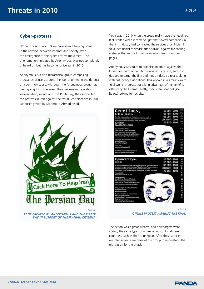# **Cyber-protests**

Without doubt, in 2010 we have seen a turning point in the relation between Internet and society, with the emergence of the cyber-protest movement. This phenomenon, initiated by Anonymous, was not completely unheard of, but has become 'universal' in 2010.

Anonymous is a non-hierarchical group comprising thousands of users around the world, united in the defense of a common cause. Although the Anonymous group has been going for some years, they became more widely known when, along with The Pirate Bay, they supported the protests in Iran against the fraudulent elections in 2009 supposedly won by Mahmoud Ahmadinejad.



Yet it was in 2010 when the group really made the headlines. It all started when it came to light that several companies in the film industry had contracted the services of an Indian firm to launch denial of service attacks (DoS) against file-sharing websites that refused to remove certain links from their pages.

Anonymous was quick to organize an attack against the Indian company, although this was unsuccessful, and so it decided to target the film and music industry directly, along with anti-piracy associations. This worked in a similar way to 'real-world' protests, but taking advantage of the benefits offered by the Internet. Firstly, flyers were sent out (see below) looking for recruits:



*ONLINE PROTEST AGAINST THE RIAA.*

The action was a great success, and new targets were added; the same types of organizations but in different countries, such as the UK or Spain. After these attacks, we interviewed a member of the group to understand the motivation for the attack:

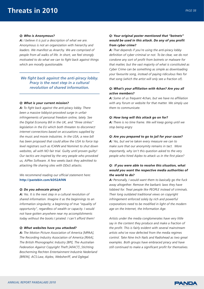#### *Q: Who is Anonymous?*

*A: I believe it is just a description of what we are. Anonymous is not an organization with hierarchy and leaders. We manifest as Anarchy. We are comprised of people from all walks of life. In short, we feel strongly motivated to do what we can to fight back against things which are morally questionable.*

*We fight back against the anti-piracy lobby. Pracy is the next step in a cultural revolution of shared information.* 

#### *Q: What is your current mission?*

*A: To fight back against the anti-piracy lobby. There been a massive lobbyist-provoked surge in unfair infringements of personal freedom online, lately. See the Digital Economy Bill in the UK, and "three strikes" legislation in the EU which both threaten to disconnect internet connections based on accusations supplied by the music and movie industries. In the USA, a new bill has been proposed that could allow the USA to force top level registrars such as ICANN and Nominet to shut down websites, all with NO fair trial. Guilty until proven guilty! Our tactics are inspired by the very people who provoked us, AiPlex Software. A few weeks back they admitted to attacking file sharing sites with DDoS attacks.*

*We recommend reading our official statement here:*  **http://pastebin.com/kD52Af4N**

#### *Q: Do you advocate piracy?*

*A: Yes. It is the next step in a cultural revolution of shared information. Imagine it as the beginnings to an information singularity; a beginning of true "equality of opportunity", regardless of wealth or capacity. I would not have gotten anywhere near my accomplishments today without the books I pirated. I can't afford them!*

#### *Q: What websites have you attacked?*

*A: The Motion Picture Association of America [MPAA], The Recording Industry Association of America [RIAA], The British Phonographic Industry [BPI], The Australian Federation Against Copyright Theft [AFACT] ,Stichting Bescherming Rechten Entertainment Industrie Nederland [BREIN], ACS:Law, Aiplex, Websheriff, and Dglegal.*

### *Q: Your original poster mentioned that "botnets" would be used in this attack. Do any of you profit from cyber crime?*

*A***:** *That depends if you're using the anti-piracy lobby definition of cyber criminal or not. To be clear, we do not condone any sort of profit from botnets or malware for that matter, but the vast majority of what is constituted as Cyber Crime can be something as simple as downloading your favourite song, instead of paying ridiculous fees for that song (which the artist will only see a fraction of).*

#### *Q: What's your affiliation with 4chan? Are you all active members?*

*A: Some of us frequent 4chan, but we have no affiliation with any forum or website for that matter. We simply use them to communicate.*

#### *Q: How long will this attack go on for?*

*A: There is no time frame. We will keep going until we stop being angry*

#### *Q: Are you prepared to go to jail for your cause?*

*A: Yes, but we've taken every measure we can to make sure that our anonymity remains in tact. More importantly, why isn't this question asked to the very people who hired Aiplex to attack us in the first place?*

## *Q: If you were able to resolve this situation, what would you want the respective media authorities of the world to do?*

*A: Personally, I would want them to basically go the fuck away altogether. Remove the barbaric laws they have lobbied for. Treat people like PEOPLE instead of criminals. Their long outdated traditional views on copyright infringement enforced solely by rich and powerful corporations need to be modified in light of the modern age on the Internet, the Information Age.*

*Artists under the media conglomerates have very little say in the content they produce and make a fraction of the profit. This is fairly evident with several mainstream artists who've now defected from the media regimes control. Take Nine Inch Nails and Radiohead as two great examples. Both groups have embraced piracy and have still continued to make a significant profit for themselves.*

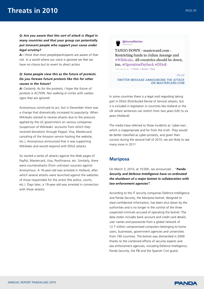## *Q: Are you aware that this sort of attack is illegal in many countries and that your group can potentially put innocent people who support your cause under legal scrutiny?*

*A: I think that most people/participants are aware of that risk. In a world where our voice is ignored we feel we have no choice but to revert to direct action.*

## *Q: Some people view this as the future of protests. Do you foresee future protests like this for other causes in the future?*

*A: Certainly. As for the protests, I hope the future of protests is ACTION. Not walking in circles with useless signs that are ignored.*

Anonymous continued to act, but in December there was a change that dramatically increased its popularity. When Wikileaks started to receive attacks due to the pressure applied by the US government on various companies (suspension of Wikileaks' accounts from which they received donations through Paypal, Visa, Mastercard, canceling of the Amazon service hosting the website, etc.), Anonymous announced that it was supporting Wikileaks and would respond with DDoS attacks.

So started a series of attacks against the Web pages of PayPal, Mastercard, Visa, Postfinance, etc. Similarly, there were counterattacks (from unknown sources) against Anonymous. A 16-year-old was arrested in Holland, after which several attacks were launched against the websites of those responsible for the arrest (the police, courts, etc.). Days later, a 19-year-old was arrested in connection with these attacks.



TANGO DOWN - mastercard.com -Restricting funds to Julian Assange and #Wikileaks. All countries should be down, too. #OperationPayback #DDoS

1 hour ago via web <br />
<br />
Favorite 13 Retweet <br />
<br />
Reply

*FIG.04 TWITTER MESSAGE ANNOUNCING THE ATTACK ON MASTERCARD.COM*

In some countries there is a legal void regarding taking part in DDoS (Distributed Denial of Service) attacks, but it is included in legislation in countries like Holland or the UK where sentences can stretch from two years (UK) to six years (Holland).

The media have referred to these incidents as 'cyber-war', which is inappropriate and far from the truth. They would be better classified as cyber-protests, and given their success during the second half of 2010, we are likely to see many more in 2011.

# **Mariposa**

On March 3, 2010, at 10:00h, we announced… "*Panda Security and Defence Intelligence have co-ordinated the shutdown of a major botnet in collaboration with law enforcement agencies".*

According to the IT security companies Defence Intelligence and Panda Security, the Mariposa botnet, designed to steal confidential information, has been shut down by the authorities and is no longer in the control of the three suspected criminals accused of operating the botnet. The data stolen includes bank account and credit card details, user names and passwords from a global network of 12.7 million compromised computers belonging to home users, businesses, government agencies and universities from 190 countries. The botnet was dismantled in 2009 thanks to the combined efforts of security experts and law enforcement agencies, including Defence Intelligence, Panda Security, the FBI and the Spanish Civil guard.

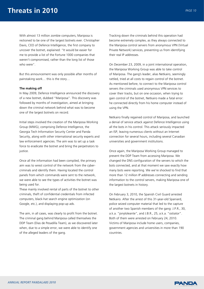With almost 13 million zombie computers, Mariposa is reckoned to be one of the largest botnets ever. Christopher Davis, CEO of Defence Intelligence, the first company to uncover the botnet, explained: "It would be easier for me to provide a list of the Fortune 1000 companies that weren't compromised, rather than the long list of those who were".

But this announcement was only possible after months of painstaking work… this is the story…

#### **The making off**

In May 2009, Defence Intelligence announced the discovery of a new botnet, dubbed "Mariposa". This discovery was followed by months of investigation, aimed at bringing down the criminal network behind what was to become one of the largest botnets on record.

Initial steps involved the creation of the Mariposa Working Group (MWG), comprising Defence Intelligence, the Georgia Tech Information Security Center and Panda Security, along with other international security experts and law enforcement agencies. The aim was to set up a task force to eradicate the botnet and bring the perpetrators to justice.

Once all the information had been compiled, the primary aim was to wrest control of the network from the cybercriminals and identify them. Having located the control panels from which commands were sent to the network, we were able to see the types of activities the botnet was being used for.

These mainly involved rental of parts of the botnet to other criminals, theft of confidential credentials from infected computers, black-hat search engine optimization (on Google, etc.), and displaying pop-up ads.

The aim, in all cases, was clearly to profit from the botnet. The criminal gang behind Mariposa called themselves the DDP Team (Días de Pesadilla Team), as we discovered later when, due to a simple error, we were able to identify one of the alleged leaders of the gang.

Tracking down the criminals behind this operation had become extremely complex, as they always connected to the Mariposa control servers from anonymous VPN (Virtual Private Network) services, preventing us from identifying their real IP addresses.

On December 23, 2009, in a joint international operation, the Mariposa Working Group was able to take control of Mariposa. The gang's leader, alias Netkairo, seemingly rattled, tried at all costs to regain control of the botnet. As mentioned before, to connect to the Mariposa control servers the criminals used anonymous VPN services to cover their tracks, but on one occasion, when trying to gain control of the botnet, Netkairo made a fatal error: he connected directly from his home computer instead of using the VPN.

Netkairo finally regained control of Mariposa, and launched a denial of service attack against Defence Intelligence using all the bots in his control. This attack seriously impacted an ISP, leaving numerous clients without an Internet connection for several hours, including several Canadian universities and government institutions.

Once again, the Mariposa Working Group managed to prevent the DDP Team from accessing Mariposa. We changed the DNS configuration of the servers to which the bots connected, and at that moment we saw exactly how many bots were reporting. We we're shocked to find that more than 12 million IP addresses connecting and sending information to the control servers, making Mariposa one of the largest botnets in history.

On February 3, 2010, the Spanish Civil Guard arrested Netkairo. After the arrest of this 31-year-old Spaniard, police seized computer material that led to the capture of another two Spanish members of the gang: J.P.R., 30, a.k.a. "jonyloleante", and J.B.R., 25, a.k.a. "ostiator". Both of them were arrested on February 24, 2010. Victims of Mariposa include home users, companies, government agencies and universities in more than 190 countries.

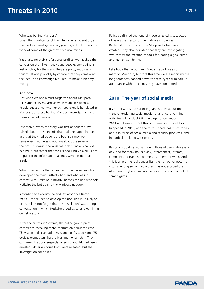#### Who was behind Mariposa?

Given the significance of the international operation, and the media interest generated, you might think it was the work of some of the greatest technical minds.

Yet analyzing their professional profiles, we reached the conclusion that, like many young people, computing is just a hobby for them and they are pretty much selftaught. It was probably by chance that they came across the idea –and knowledge required- to make such easy money.

#### **And now...**

Just when we had almost forgotten about Mariposa, this summer several arrests were made in Slovenia. People questioned whether this could really be related to Mariposa, as those behind Mariposa were Spanish and those arrested Slovene.

Last March, when the story was first announced, we talked about the Spaniards that had been apprehended, and that they had bought the bot. You may well remember that we said nothing about the seller of the bot. This wasn't because we didn't know who was behind it, but rather that the FBI had kindly asked us not to publish the information, as they were on the trail of Iserdo.

Who is Iserdo? It's the nickname of the Slovenian who developed the main Butterfly bot, and who was in contact with Netkairo. Similarly, he was the one who sold Netkairo the bot behind the Mariposa network.

According to Netkairo, he and Ostiator gave Iserdo "99%" of the idea to develop the bot. This is unlikely to be true; let's not forget that this 'revelation' was during a conversation in which Netkairo urged us to employ him in our laboratory.

After the arrests in Slovenia, the police gave a press conference revealing more information about the case. They searched seven addresses and confiscated some 75 devices (computers, hard drives, memories, etc.). They confirmed that two suspects, aged 23 and 24, had been arrested. After 48 hours both were released, but the investigation continues.

Police confirmed that one of those arrested is suspected of being the creator of the malware (known as ButterflyBot) with which the Mariposa botnet was created. They also indicated that they are investigating two crimes: the creation of tools facilitating digital crime and money laundering.

Let's hope that in our next Annual Report we also mention Mariposa, but that this time we are reporting the long sentences handed down to these cyber-criminals, in accordance with the crimes they have committed.

# **2010: The year of social media**

It's not new, it's not surprising, and stories about the trend of exploiting social media for a range of criminal activities will no doubt fill the pages of our reports in 2011 and beyond… But this is a summary of what has happened in 2010, and the truth is there has much to talk about in terms of social media and security problems, and in particular related with privacy.

Basically, social networks have millions of users who every day, and for many hours a day, interconnect, interact, comment and even, sometimes, use them for work. And this is where the real danger lies: the number of potential victims among social media users has not escaped the attention of cyber-criminals. Let's start by taking a look at some figures…

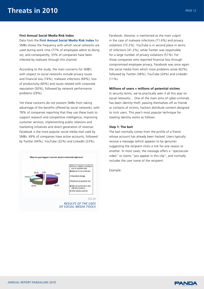#### **First Annual Social Media Risk Index**

Data from the **First Annual Social Media Risk Index** for SMBs shows the frequency with which social networks are used during work time (77% of employees admit to doing so), and consequently, 33% of companies have been infected by malware through this channel.

According to the study, the main concerns for SMB's with respect to social networks include privacy issues and financial loss (74%), malware infections (69%), loss of productivity (60%) and issues related with corporate reputation (50%), followed by network performance problems (29%).

Yet these concerns do not prevent SMBs from taking advantage of the benefits offered by social networks, with 78% of companies reporting that they use these tools to support research and competitive intelligence, improving customer services, implementing public relations and marketing initiatives and direct generation of revenue. Facebook is the most popular social media tool used by SMBs: 69% of companies have active accounts, followed by Twitter (44%), YouTube (32%) and LinkedIn (23%).



*OF SOCIAL MEDIA TOOLS*

Facebook, likewise, is mentioned as the main culprit in the case of malware infections (71.6%) and privacy violations (73.2%). YouTube is in second place in terms of infections (41.2%), while Twitter was responsible for a large number of privacy violations (51%). For those companies who reported financial loss through compromised employee privacy, Facebook was once again the social media from which most problems arose (62%), followed by Twitter (38%), YouTube (24%) and LinkedIn (11%).

#### **Millions of users = millions of potential victims**

In security terms, we've practically seen it all this year on social networks… One of the main aims of cyber-criminals has been identity theft: passing themselves off as friends or contacts of victims, hackers distribute content designed to trick users. This year's most popular technique for stealing identity works as follows:

#### **Step 1: The bait**

The bait normally comes from the profile of a friend whose account has already been hacked. Users typically receive a message (which appears to be genuine) suggesting the recipient clicks a link for one reason or another. In most cases, the message offers a "spectacular video" or claims "you appear in this clip", and normally includes the user name of the recipient.

Example:

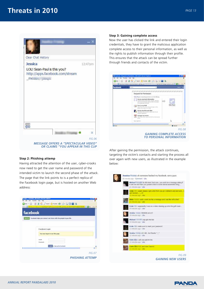

#### **Step 2: Phishing attemp**

Having attracted the attention of the user, cyber-crooks now need to get the user name and password of the intended victim to launch the second phase of the attack. The page that the link points to is a perfect replica of the Facebook login page, but is hosted on another Web address:



#### **Step 3: Gaining complete access**

Now the user has clicked the link and entered their login credentials, they have to grant the malicious application complete access to their personal information, as well as the rights to publish information through their profile. This ensures that the attack can be spread further through friends and contacts of the victim.

| facebook | $\sim$                                                                                                                                                            | u, |   |  |
|----------|-------------------------------------------------------------------------------------------------------------------------------------------------------------------|----|---|--|
|          | Reguest for Permission                                                                                                                                            |    |   |  |
|          | Toba: Floyer is reporting permanent in thirty following                                                                                                           |    |   |  |
|          | Access my basic information<br>Infalso cars, to the police, and is, below<br>ant 21, lat of transity and any other inhan-atota-<br>In a channel todily determined |    |   |  |
|          | Post Its roy Wall<br>Hides Please was and shiny inc<br>photoa, and support from plast                                                                             |    |   |  |
|          | Access my duta any time<br>Man Parish was aimed to data share the top<br>set of the Audio Analy                                                                   |    |   |  |
|          | Nariage my everiti<br>Allac Procede lange strained and Alcoholton arounded<br><b>Lakupi</b>                                                                       |    |   |  |
|          | <b>Teach Submitted</b>                                                                                                                                            |    | Ъ |  |
|          |                                                                                                                                                                   |    |   |  |

After gaining the permission, the attack continues, targeting the victim's contacts and starting the process all over again with new users, as illustrated in the example below:



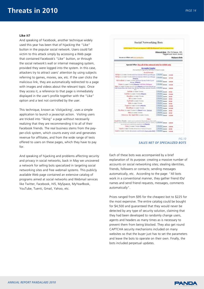#### **Like it?**

And speaking of Facebook, another technique widely used this year has been that of hijacking the "Like" button in the popular social network. Users could fall victim to this attack simply by accessing a Web page that contained Facebook's "Like" button, or through the social network's wall or internal messaging system, provided they were logged into the system. In this case, attackers try to attract users' attention by using subjects referring to games, movies, sex, etc. If the user clicks the malicious link, they are automatically redirected to a page with images and videos about the relevant topic. Once they access it, a reference to that page is immediately displayed in the user's profile together with the "Like" option and a text not controlled by the user.

This technique, known as 'clickjacking', uses a simple application to launch a javascript action. Visiting users are tricked into "liking" a page without necessarily realizing that they are recommending it to all of their Facebook friends. The real business stems from the payper-click system, which counts every visit and generates revenue for affiliates, and from the wide range of tests offered to users on these pages, which they have to pay for.

And speaking of hijacking and problems affecting security and privacy in social networks, back in May we uncovered a network for selling bots specialized in targeting social networking sites and free webmail systems. This publicly available Web page contained an extensive catalog of programs aimed at social networks and Webmail services like Twitter, Facebook, Hi5, MySpace, MyYearBook, YouTube, Tuenti, Gmail, Yahoo, etc.



*SALES NET OF SPECIALIZED BOTS*

Each of these bots was accompanied by a brief explanation of its purpose: creating a massive number of accounts on social networking sites; stealing identities, friends, followers or contacts; sending messages automatically, etc. According to the page: "All bots work in a conventional manner, they gather friend IDs/ names and send friend requests, messages, comments automatically".

Prices ranged from \$95 for the cheapest bot to \$225 for the most expensive. The entire catalog could be bought for \$4,500 and guaranteed that they would never be detected by any type of security solution, claiming that they had been developed to randomly change users, agents and headers as many times as is necessary to prevent them from being blocked. They also get round CAPTCHA security mechanisms included on many websites so that the buyer just has to set the parameters and leave the bots to operate on their own. Finally, the bots included perpetual updates.

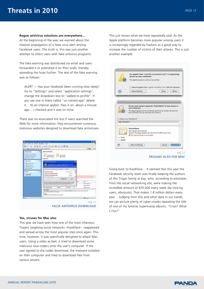#### **Rogue antivirus solutions are everywhere…**

At the beginning of the year we warned about the massive propagation of a false virus alert among Facebook users. The truth is, this was just another attempt to infect users with fake antivirus programs.

The fake warning was distributed via email and users forwarded it or published it on their walls, thereby spreading the hoax further. The text of the fake warning was as follows:

ALERT — Has your facebook been running slow lately? Go to "Settings" and select "application settings", change the dropdown box to "added to profile". If you see one in there called "un named app" delete it… Its an internal spybot. Pass it on. about a minute ago….i checked and it was on mine.

There was no associated link but if users searched the Web for more information, they encountered numerous malicious websites designed to download fake antiviruses.



#### **Yes, viruses for Mac also**

This year we have seen how one of the most infamous Trojans targeting social networks –Koobface– reappeared and spread across the most popular sites once again. This time, however, it was specifically designed to attack Mac users. Using a video as bait, it tried to download some malicious Java codecs onto the user's computer. If the user agreed to the codec download, the malware installed on their computer and tried to download files from various servers.

This just shows what we have repeatedly said: As the Apple platform becomes more popular among users it is increasingly regarded by hackers as a good way to increase the number of victims of their attacks. This is just another example.

|                     | An applet from "Illiam<br>access to your computer.                                                     | " is requesting                                                               |
|---------------------|--------------------------------------------------------------------------------------------------------|-------------------------------------------------------------------------------|
|                     | The digital signature could not be verified.                                                           |                                                                               |
|                     | Allow all applets from "a                                                                              | with this signature.                                                          |
| $\Omega$            | Show Details                                                                                           | <b>Allow</b><br>Denv                                                          |
|                     |                                                                                                        |                                                                               |
|                     |                                                                                                        |                                                                               |
|                     |                                                                                                        |                                                                               |
|                     |                                                                                                        | Do you want content signed by "PhotoAlbum" to have access to                  |
|                     | your computer?                                                                                         | The digital signature of this certificate could not be verified. Do not trust |
|                     | this certificate if you do not know who issued it.                                                     |                                                                               |
|                     | Always trust "PhotoAlbum"                                                                              |                                                                               |
|                     |                                                                                                        |                                                                               |
| <b>O</b> PhotoAlbum |                                                                                                        |                                                                               |
| Eust                | <b>PhotoAlbum</b><br>Self-signed root certificate                                                      |                                                                               |
|                     | Expires: Thursday, October 23, 2014 8:45:25 PM France Time .<br>O This root certificate is not trusted |                                                                               |
| i-Trust             |                                                                                                        |                                                                               |
| Details:            |                                                                                                        |                                                                               |
| Ð                   | <b>Hide Certificate</b>                                                                                | Cancel Continue                                                               |

Going back to Koobface… It seemed that this year the Facebook security team was finally keeping the authors of this Trojan family at bay, who, according to estimates from the social networking site, were making the incredible amount of \$35,000 every week (by tricking users, obviously). That makes 1.8 million dollars every year… Judging from this and other data in our hands, we can picture plenty of cyber-crooks repeating the title of one of my favorite Supertramp albums: "Crisis? What Crisis?".

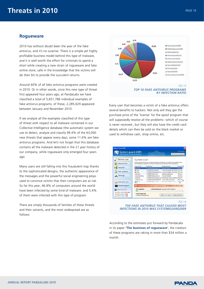# **Rogueware**

2010 has without doubt been the year of the fake antivirus, and it's no surprise. There is a simple yet highly profitable business model behind this type of malware, and it is well worth the effort for criminals to spend a short while creating a new strain of rogueware and fake online store, safe in the knowledge that the victims will do their bit to provide the succulent returns.

Around 40% of all fake antivirus programs were created in 2010. Or in other words, since this new type of threat first appeared four years ago, at PandaLabs we have classified a total of 5,651,786 individual examples of fake antivirus programs, of these, 2,285,629 appeared between January and November 2010.

If we analyze all the examples classified of this type of threat with respect to all malware contained in our Collective Intelligence database (the automatic system we use to detect, analyze and classify 99.4% of the 63,000 new threats that appear every day), some 11.6% are fake antivirus programs. And let's not forget that this database contains all the malware detected in the 21 year history of our company, while rogueware only emerged four years ago.

Many users are still falling into this fraudulent trap thanks to the sophisticated designs, the authentic appearance of the messages and the powerful social engineering ploys used to convince victims that their computers are at risk. So far this year, 46.8% of computers around the world have been infected by some kind of malware: and 5.4% of them were infected with this type of program.

There are simply thousands of families of these threats and their variants, and the most widespread are as follows:



Every user that becomes a victim of a fake antivirus offers several benefits to hackers. Not only will they get the purchase price of the 'license' for the spoof program that will supposedly resolve all the problems –which of course is never received-, but they will also have the credit card details which can then be sold on the black market or used to withdraw cash, shop online, etc.



*THE FAKE ANTIVIRUS THAT CAUSED MOST INFECTIONS IN 2010 WAS SYSTEMGUARD2009*

According to the estimates put forward by PandaLabs in its paper **'The business of rogueware'**, the creators of these programs are raking in more than \$34 million a month.

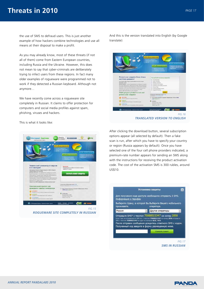# **Threats in 2010** *PAGE 17* **PAGE 17**

the use of SMS to defraud users. This is just another example of how hackers combine technologies and use all means at their disposal to make a profit.

As you may already know, most of these threats (if not all of them) come from Eastern European countries, including Russia and the Ukraine. However, this does not mean to say that cyber-criminals are deliberately trying to infect users from these regions. In fact many older examples of rogueware were programmed not to work if they detected a Russian keyboard. Although not anymore…

We have recently come across a rogueware site completely in Russian. It claims to offer protection for computers and social media profiles against spam, phishing, viruses and hackers.

This is what it looks like:



And this is the version translated into English (by Google translate):

ast your computer from<br>from spannmers! and from sp. ect your c aspules *FIG.16*

 *TRANSLATED VERSION TO ENGLISH*

After clicking the download button, several subscription options appear (all selected by default). Then a fake scan is run, after which you have to specify your country or region (Russia appears by default). Once you have selected one of the four cell phone providers indicated, a premium-rate number appears for sending an SMS along with the instructions for receiving the product activation code. The cost of the activation SMS is 300 rubles, around US\$10.

|                                                         | Установка защиты                                                                                                                                                                                                   |        |
|---------------------------------------------------------|--------------------------------------------------------------------------------------------------------------------------------------------------------------------------------------------------------------------|--------|
| Информация о тарифах                                    | Для получения кода доступа необходимо отправить 3 SMS.                                                                                                                                                             |        |
| проживаете.                                             | Выберите страну, в которой Вы Выберите Вашего мобильного<br>оператора.                                                                                                                                             |        |
| Россия                                                  | Другие операторы                                                                                                                                                                                                   |        |
| SHS c twicton 75888515347 Ha ngaw in Homepoe 8151, 9151 | EDW V 62C He STIDWINNETZK SRS Ha 2 THRITIIN 75888515347 Ha HOHED 2858 INTIQUINTE<br>После отправки сообщения дождитесь ответного SMS с кодом.<br>Полученный ход введите в форму размещенную ниже.<br>Скачать пакет |        |
|                                                         |                                                                                                                                                                                                                    |        |
|                                                         |                                                                                                                                                                                                                    | FIG.17 |

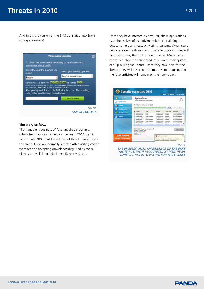And this is the version of the SMS translated into English (Google translate):

|                                                                                                                                   | Установка защиты             |  |
|-----------------------------------------------------------------------------------------------------------------------------------|------------------------------|--|
| To obtain the access code necessary to send three SMS.<br>Information about tariffs                                               |                              |  |
| Select the country in which you<br>reside.                                                                                        | Select your mobile operator. |  |
| Russia                                                                                                                            | Другие операторы             |  |
| Send SMS * с текстом 75888515307 на номер 2858<br>Если у вас не втораклистск SMS на с текстом 75688515307 на номер 3856 отправать |                              |  |
| SPIS E TIMICTOM ZHRNOLDUNG/ HIL IUDINI HIS HOMEDOG REDE, SEDE                                                                     |                              |  |
| After posting wait for a reply SMS with the code. The resulting<br>code, enter into the form posted below.                        | Скамалть пикел               |  |
|                                                                                                                                   | FIG 18                       |  |

#### **The story so far…**

The fraudulent business of fake antivirus programs, otherwise known as rogueware, began in 2006, yet it wasn't until 2008 that these types of threats really began to spread. Users are normally infected after visiting certain websites and accepting downloads disguised as codec players or by clicking links in emails received, etc.

Once they have infected a computer, these applications pass themselves of as antivirus solutions, claiming to detect numerous threats on victims' systems. When users go to remove the threats with the fake program, they will be asked to buy the 'full' product license. Many users, concerned about the supposed infection of their system, end up buying the license. Once they have paid for the license, they will never hear from the vendor again, and the fake antivirus will remain on their computer.

| <b>Co.</b> Imarty Maha        | <b>System Scan</b>                                                                                                                        |                                                                                                                         |                                                                                                          |                                                                                                   |                                                                                                                                                           |
|-------------------------------|-------------------------------------------------------------------------------------------------------------------------------------------|-------------------------------------------------------------------------------------------------------------------------|----------------------------------------------------------------------------------------------------------|---------------------------------------------------------------------------------------------------|-----------------------------------------------------------------------------------------------------------------------------------------------------------|
| <b>Co.</b> System scan        | Board of Fand drives on your stampyint                                                                                                    |                                                                                                                         |                                                                                                          |                                                                                                   |                                                                                                                                                           |
| <b>By Firmal</b>              | Scan Sype: Channel (Crack                                                                                                                 |                                                                                                                         |                                                                                                          |                                                                                                   |                                                                                                                                                           |
| e,<br><b>Email protection</b> |                                                                                                                                           |                                                                                                                         |                                                                                                          | Direct 3                                                                                          | Shaker Company                                                                                                                                            |
| <b>Client for spilletes</b>   | en dia<br>Explor, MAGE<br>Tropian CMT222BA                                                                                                | Tope<br><b>Halmerd</b><br>Total and                                                                                     | <b>Location</b><br>Chelle Outlis<br><b>CONTROVISI</b>                                                    | <b>Trend front</b><br>Long Mod.<br>Loss (Rock)                                                    | <b>Inscription</b><br>This matching program<br>Albizar, le troise fu                                                                                      |
| A Bettings                    | Trojato Cleban<br>Advance Included.<br><b>Report Fieldon</b><br><b>Treasure Divisions</b><br>Treasurer SEP a.<br><b>Business Platform</b> | Tropian Picograms<br><b>Advance</b><br><b>Social Programs</b><br><b>System Persponses</b><br><b>Business Management</b> | C/MMONTH.<br>C/windowits<br>CONSEQUITIL.<br>C/MISEOWN).<br>C/HREOWIS<br><b>Contract Advertising Con-</b> | Low Ave.<br><b>Hidden</b> state<br>Loui Rold<br><b>Hutche Rock</b><br>High-root<br><b>License</b> | <b>No host sense,</b><br>This program disturb .<br>the financipate in<br>The Treasy is sharps.<br>A lesson, or testant for<br>West A. A. House, Mr. Lewis |
|                               | ELMINDOWN.tysteec32\purbb.alt<br>Objects scanned: 2047<br>Threats detected in<br>Finall-13<br>Genevald D                                  |                                                                                                                         |                                                                                                          |                                                                                                   | <b><i><u>Research Boston</u></i></b>                                                                                                                      |

*FIG.19*

*THE PROFESSIONAL APPEARANCE OF THE FAKE ANTIVIRUS, WITH RECOGNIZED NAMES, HELPS LURE VICTIMS INTO PAYING FOR THE LICENSE*

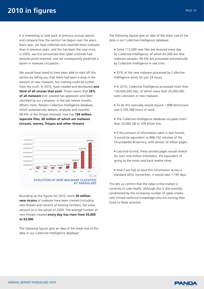It is interesting to look back at previous annual reports, and compare how this section has begun over the years. Every year, we have collected and classified more malware than in previous years, and this has been the case since, in 2005, we first announced that cyber-criminals had become profit-oriented, and we consequently predicted a boom in malware circulation.

We would have loved to have been able to start off this section by telling you that there had been a drop in the amount of new malware, but nothing could be further from the truth. In 2010, have created and distributed **one third of all viruses that exist**. These means that **34% of all malware** ever created has appeared -and been classified by our company- in the last twelve months. What's more, Panda's Collective Intelligence database, which automatically detects, analyzes and classifies 99.4% of the threats received, now has **134 million separate files, 60 million of which are malware (viruses, worms, Trojans and other threats)**.



Rounding up the figures for 2010, some **20 million new strains** of malware have been created (including new threats and variants of existing families), the same amount as in the whole of 2009. The average number of new threats created **every day has risen from 55,000 to 63,000**.

The following figures give an idea of the sheer size of the data in our Collective Intelligence database:

The following figures give an idea of the sheer size of the data in our Collective Intelligence database:

- Some 113,000 new files are received every day by Collective Intelligence, of which 63,000 are new malware samples. 99.4% are processed automatically by Collective Intelligence in real time.
- 52% of the new malware processed by Collective Intelligence exists for just 24 hours.
- In 2010, Collective Intelligence processed more than 134,000,000 files, of which more than 20,000,000 were unknown or new malware.
- To do this manually would require 1,898 technicians and 3,705,388 hours of work.
- The Collective Intelligence database occupies more than 20,000 GB or 209 billion bits.
- If this amount of information were in text format, it would be equivalent to 808,192 volumes of the Encyclopedia Britannica, with almost 32 billion pages.
- Laid end-to-end, these printed pages would stretch for over nine million kilometers, the equivalent of going to the moon and back twelve times.
- And if we had to send this information across a standard ADSL connection, it would take 1,165 days.

This lets us confirm that the cyber-crime market is currently in rude health, although this is also possibly conditioned by the increasing number of cyber-crooks with limited technical knowledge who are turning their hand to these activities.

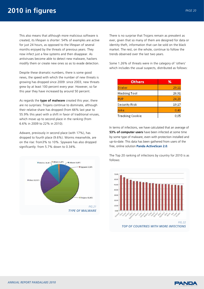This also means that although more malicious software is created, its lifespan is shorter: 54% of examples are active for just 24 hours, as opposed to the lifespan of several months enjoyed by the threats of previous years. They now infect just a few systems and then disappear. As antiviruses become able to detect new malware, hackers modify them or create new ones so as to evade detection.

Despite these dramatic numbers, there is some good news, the speed with which the number of new threats is growing has dropped since 2009: since 2003, new threats grew by at least 100 percent every year. However, so far this year they have increased by around 50 percent.

As regards the **type of malware** created this year, there are no surprises: Trojans continue to dominate, although their relative share has dropped (from 66% last year to 55.9% this year) with a shift in favor of traditional viruses, which move up to second place in the ranking (from 6.6% in 2009 to 22% in 2010).

Adware, previously in second place (with 17%), has dropped to fourth place (9.6%). Worms meanwhile, are on the rise: from3% to 10%. Spyware has also dropped significantly: from 5.7% down to 0.34%.



There is no surprise that Trojans remain as prevalent as ever, given that so many of them are designed for data or identity theft, information that can be sold on the black market. The rest, on the whole, continue to follow the trends observed over the last two years.

Some 1.26% of threats were in the category of 'others' which includes the usual suspects, distributed as follows:

| <b>Others</b>   | ℁     |
|-----------------|-------|
| Dialer          | 29,11 |
| Hacking Tool    | 26,91 |
| <b>PUP</b>      | 24,28 |
| Security Risk   | 19.17 |
| Joke            | 0,48  |
| Tracking Cookie | 0,05  |

In terms of infections, we have calculated that an average of **53% of computer users** have been infected at some time by some type of malware, even with protection installed and up-to-date. This data has been gathered from users of the free, online solution **Panda ActiveScan 2.0**.

The Top 20 ranking of infections by country for 2010 is as follows:



*TOP OF COUNTRIES WITH MORE INFECTIONS*

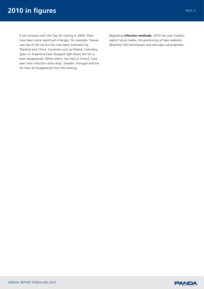# **2010 in figures** *PAGE 21*

If we compare with the Top 20 ranking in 2009, there have been some significant changes. For example, Taiwan was top of the list but has now been overtaken by Thailand and China. Countries such as Poland, Colombia, Spain or Argentina have dropped right down the list or even disappeared. While others, like Italy or France, have seen their infection ratios drop. Sweden, Portugal and the UK have all disappeared from the ranking.

Regarding **infection methods**, 2010 has seen hackers exploit social media, the positioning of fake websites (BlackHat SEO techniques) and zero-day vulnerabilities.

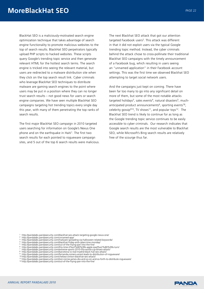BlackHat SEO is a maliciously-motivated search engine optimization technique that takes advantage of search engine functionality to promote malicious websites to the top of search results. BlackHat SEO perpetrators typically upload PHP scripts to hacked websites. These scripts query Google's trending topic service and then generate relevant HTML for the hottest search terms. The search engine is tricked into seeing the relevant material, but users are redirected to a malware distribution site when they click on the top search result link. Cyber criminals who leverage BlackHat SEO techniques to distribute malware are gaming search engines to the point where users may be put in a position where they can no longer trust search results – not good news for users or search engine companies. We have seen multiple BlackHat SEO campaigns targeting hot trending topics every single day this year, with many of them penetrating the top ranks of search results.

The first major BlackHat SEO campaign in 2010 targeted users searching for information on Google's Nexus One phone and on the earthquake in Haiti<sup>1</sup>. The first two search results for each pointed to rogueware campaign sites, and 5 out of the top 6 search results were malicious. The next Blackhat SEO attack that got our attention targeted Facebook users<sup>2</sup>. This attack was different in that it did not exploit users via the typical Google trending topic method. Instead, the cyber criminals behind the attack chose to cross-pollinate their traditional Blackhat SEO campaigns with the timely announcement of a Facebook bug, which resulting in users seeing an "unnamed application" in their Facebook account settings. This was the first time we observed Blackhat SEO attempting to target social network users.

And the campaigns just kept on coming. There have been far too many to go into any significant detail on more of them, but some of the most notable attacks targeted holidays<sup>3</sup>, sales events<sup>4</sup>, natural disasters<sup>5</sup>, muchanticipated product announcements<sup>6</sup>, sporting events<sup>78</sup>, celebrity gossip<sup>910</sup>, TV shows<sup>11</sup>, and popular toys<sup>12</sup>. The Blackhat SEO trend is likely to continue for as long as the Google trending topic service continues to be easily accessible to cyber criminals. Our research indicates that Google search results are the most vulnerable to Blackhat SEO, while Microsoft's Bing search results are relatively free of the scourge thus far.

- 
- 
- 
- 
- 
- 
- 
- 
- 1 http://pandalabs.pandasecurity.com/blackhat-seo-attack-targeting-google-nexus-one/<br>
2 http://pandalabs.pandasecurity.com/malmed-app/<br>
3 http://pandalabs.pandasecurity.com/malware-spreading-via-halloween-related-keywords
- 

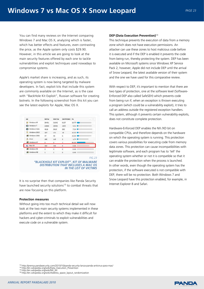You can find many reviews on the Internet comparing Windows 7 and Mac OS X, analyzing which is faster, which has better effects and features, even contrasting the price, as the Apple system only costs \$29.90. However, in this article we are going to look at the main security features offered by each one to tackle vulnerabilities and exploit techniques used nowadays to compromise systems.

Apple's market share is increasing, and as such, its operating system is now being targeted by malware developers. In fact, exploit kits that include this system are commonly available on the Internet, as is the case with "BackHole Kit Exploit", Russian software for creating botnets. In the following screenshot from this kit you can see the latest exploits for Apple, Mac OS X.



It is no surprise then that companies like Panda Security have launched security solutions<sup>13</sup> to combat threats that are now focusing on this platform.

#### **Protection measures**

Without going into too much technical detail we will now look at the two main security systems implemented in these platforms and the extent to which they make it difficult for hackers and cyber-criminals to exploit vulnerabilities and execute code on a vulnerable system.

#### **DEP (Data Execution Prevention)**<sup>14</sup>

This technique prevents the execution of data from a memory zone which does not have execution permissions. An attacker can use these zones to host malicious code before it is executed and if the DEP is enabled it prevents the code from being run, thereby protecting the system. DEP has been available on Microsoft systems since Windows XP Service Pack 2, however, Apple did not include DEP until the arrival of Snow Leopard, the latest available version of their system and the one we have used for this comparative review.

With respect to DEP, it's important to mention that there are two types of protection, one at the software level (Software-Enforced DEP also called SafeSEH) which prevents code from being run if, when an exception is thrown executing a program (which could be a vulnerability exploit), it tries to call an address outside the registered exception handlers. This system, although it prevents certain vulnerability exploits, does not constitute complete protection.

Hardware-Enforced DEP enables the NX /XD bit on compatible CPUs, and therefore depends on the hardware on which the operating system is running. This protection covers various possibilities for executing code from memory data zones. This protection can cause incompatibilities with legitimate software, and each program has to 'tell' the operating system whether or not it is compatible so that it can enable the protection when the process is launched. In other words, even though the operating system has the protection, if the software executed is not compatible with DEP, there will be no protection. Both Windows 7 and Snow Leopard have this protection enabled, for example, in Internet Explorer 8 and Safari.

<sup>13</sup> http://prensa.pandasecurity.com/2010/10/panda-security-lanza-panda-antivirus-para-mac/<br><sup>14</sup> http://en.wikipedia.org/wiki/Data\_Execution\_Prevention<br><sup>15</sup> http://en.wikipedia.org/wiki/Nddress\_space\_layout\_randomization<br><sup></sup>

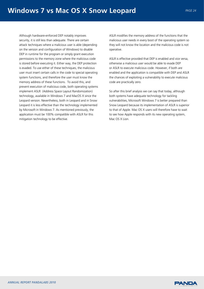Although hardware-enforced DEP notably improves security, it is still less than adequate. There are certain attack techniques where a malicious user is able (depending on the version and configuration of Windows) to disable DEP in runtime for the program or simply grant execution permissions to the memory zone where the malicious code is stored before executing it. Either way, the DEP protection is evaded. To use either of these techniques, the malicious user must insert certain calls in the code to special operating system functions, and therefore the user must know the memory address of these functions. To avoid this, and prevent execution of malicious code, both operating systems implement ASLR (Address Space Layout Randomization) technology, available in Windows 7 and MacOS X since the Leopard version. Nevertheless, both in Leopard and in Snow Leopard it is less effective than the technology implemented by Microsoft in Windows 7. As mentioned previously, the application must be 100% compatible with ASLR for this mitigation technology to be effective.

ASLR modifies the memory address of the functions that the malicious user needs in every boot of the operating system so they will not know the location and the malicious code is not operative.

ASLR is effective provided that DEP is enabled and vice versa, otherwise a malicious user would be able to evade DEP or ASLR to execute malicious code. However, if both are enabled and the application is compatible with DEP and ASLR the chances of exploiting a vulnerability to execute malicious code are practically zero.

So after this brief analysis we can say that today, although both systems have adequate technology for tackling vulnerabilities, Microsoft Windows 7 is better prepared than Snow Leopard because its implementation of ASLR is superior to that of Apple. Mac OS X users will therefore have to wait to see how Apple responds with its new operating system, Mac OS X Lion.

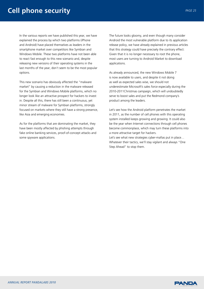# **Cell phone security** *PAGE 25 PAGE 25*

In the various reports we have published this year, we have explained the process by which two platforms (iPhone and Android) have placed themselves as leaders in the smartphone market over competitors like Symbian and Windows Mobile. These two platforms have not been able to react fast enough to this new scenario and, despite releasing new versions of their operating systems in the last months of the year, don't seem to be the most popular options.

This new scenario has obviously affected the "malware market" by causing a reduction in the malware released for the Symbian and Windows Mobile platforms, which no longer look like an attractive prospect for hackers to invest in. Despite all this, there has still been a continuous, yet minor stream of malware for Symbian platforms, strongly focused on markets where they still have a strong presence, like Asia and emerging economies.

As for the platforms that are dominating the market, they have been mostly affected by phishing attempts through fake online banking services, proof-of-concept attacks and some spyware applications.

The future looks gloomy, and even though many consider Android the most vulnerable platform due to its application release policy, we have already explained in previous articles that this strategy could have precisely the contrary effect: Given that it is no longer necessary to root the phone, most users are turning to Android Market to download applications.

As already announced, the new Windows Mobile 7 is now available to users, and despite it not doing as well as expected sales wise, we should not underestimate Microsoft's sales force especially during the 2010-2011Christmas campaign, which will undoubtedly serve to boost sales and put the Redmond company's product among the leaders.

Let's see how the Android platform penetrates the market in 2011, as the number of cell phones with this operating system installed keeps growing and growing. It could also be the year when Internet connections through cell phones become commonplace, which may turn these platforms into a more attractive target for hackers.

Let's see what new strategies cyber-mafias put in place… Whatever their tactics, we'll stay vigilant and always "One Step Ahead" to stop them.

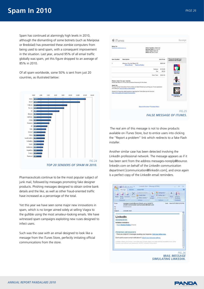Spam has continued at alarmingly high levels in 2010, although the dismantling of some botnets (such as Mariposa or Bredolad) has prevented these zombie computers from being used to send spam, with a consequent improvement in the situation. Last year, around 95% of all email traffic globally was spam, yet this figure dropped to an average of 85% in 2010.

Of all spam worldwide, some 50% is sent from just 20 countries, as illustrated below:



Pharmaceuticals continue to be the most popular subject of junk mail, followed by messages promoting fake designer products. Phishing messages designed to obtain online bank details and the like, as well as other fraud-oriented traffic have increased as a percentage of the total.

Yet this year we have seen some major new innovations in spam, which is no longer aimed solely at selling Viagra to the gullible using the most amateur-looking emails. We have witnessed spam campaigns exploiting new ruses designed to infect users.

Such was the case with an email designed to look like a message from the iTunes Store, perfectly imitating official communications from the store.

|                   |                                                                                                                                                                                                                                                                                                                                                                                        | mar-ag rance<br>Drder Number: 9050435<br>Receipt Date: 01/10/10<br>Onser Tetal: \$550.99<br><b>Billed Tar Store Credit</b> |                                                               |
|-------------------|----------------------------------------------------------------------------------------------------------------------------------------------------------------------------------------------------------------------------------------------------------------------------------------------------------------------------------------------------------------------------------------|----------------------------------------------------------------------------------------------------------------------------|---------------------------------------------------------------|
| <b>RAW Number</b> | <b>Beacription</b>                                                                                                                                                                                                                                                                                                                                                                     | Unit Price                                                                                                                 | Those who bought your<br>achiections also becape.             |
| ×                 | Whatever You Like (Darka) 453<br>Wite a Neulem - Basert a Problem                                                                                                                                                                                                                                                                                                                      | 1905.98                                                                                                                    |                                                               |
|                   |                                                                                                                                                                                                                                                                                                                                                                                        | \$418.98<br>Subtroken<br><b>Yak</b><br>\$0.00                                                                              |                                                               |
|                   |                                                                                                                                                                                                                                                                                                                                                                                        | <b>Circum Timber</b><br>3,55,7,95                                                                                          | <b>Kate East</b>                                              |
| Apple Inc.        | Please rotain for your records.<br>Figure Sox Birbs For Terms And Constitions Pertaining To This Order.<br>You can find the Tunes Store Terms of Sale and Sales Pelose by Isunohing your Tunes popication<br>and olding on Terms of Sale or Sales Polices<br>Answers to hequenty asked questors regarding the Runes Store can be found at:<br>http://www.gook.com/augobrt/flunes/3594/ |                                                                                                                            | <b><i>ANAHAMA</i></b><br><b>Londons Times</b><br>Little Boots |
|                   |                                                                                                                                                                                                                                                                                                                                                                                        |                                                                                                                            |                                                               |

 The real aim of this message is not to show products available on iTunes Store, but to entice users into clicking the "Report a problem" link which redirects to a fake Flash installer.

Another similar case has been detected involving the LinkedIn professional network. The message appears as if it has been sent from the address messages-noreply@bounce. linkedin.com on behalf of the LinkedIn communication department [communication@linkedin.com], and once again is a perfect copy of the LinkedIn email reminders.

| <b>W. Fallmer List +</b><br>Fishal<br><b>Serval</b> Trip<br><b>Suite</b><br><b>TIGGALDINAL</b><br>Creativis<br>mail<br><b>Cheferty</b><br>Options<br>nessages nongly Dixwor, Interlin.com on behalf of<br>Man 9/27/2010 12:52 PM<br>$-5 + 6$<br>Linkedon Cammunication (communication@linkedon.com)<br>- There are a total of 2 messages awaring your response. Yout your trillox now.<br>Don't want to receive email holdications? Adjust your message settings<br>Linkelin valves solic privacy, licharbite has Linkedin reads your week lettered avail<br>Drivers can without your personality. IESPIS Linksite Corporation<br>FIG.26 |                       | Mettage                                                   | <b><i><u><i><u>LAS Int</u></i></u></i></b> | Adobe FOR<br><sup>7</sup> Edgar To Pattin       | The Categoriza > | M |  |
|------------------------------------------------------------------------------------------------------------------------------------------------------------------------------------------------------------------------------------------------------------------------------------------------------------------------------------------------------------------------------------------------------------------------------------------------------------------------------------------------------------------------------------------------------------------------------------------------------------------------------------------|-----------------------|-----------------------------------------------------------|--------------------------------------------|-------------------------------------------------|------------------|---|--|
|                                                                                                                                                                                                                                                                                                                                                                                                                                                                                                                                                                                                                                          | Point                 | <b>Bapto</b><br>$1 - 2$<br>Exigond                        |                                            | <b>Create Rule</b><br><b>Citiver Juliance</b> + |                  |   |  |
|                                                                                                                                                                                                                                                                                                                                                                                                                                                                                                                                                                                                                                          | <b>From:</b>          |                                                           |                                            |                                                 |                  |   |  |
|                                                                                                                                                                                                                                                                                                                                                                                                                                                                                                                                                                                                                                          | Tac<br>Cu<br>Sültjert | Linkedby Alert                                            |                                            |                                                 |                  |   |  |
|                                                                                                                                                                                                                                                                                                                                                                                                                                                                                                                                                                                                                                          |                       |                                                           |                                            |                                                 |                  |   |  |
|                                                                                                                                                                                                                                                                                                                                                                                                                                                                                                                                                                                                                                          |                       | LinkedIn                                                  |                                            |                                                 |                  |   |  |
|                                                                                                                                                                                                                                                                                                                                                                                                                                                                                                                                                                                                                                          |                       | <b>REMINDERS</b>                                          |                                            |                                                 |                  |   |  |
|                                                                                                                                                                                                                                                                                                                                                                                                                                                                                                                                                                                                                                          |                       | Invitation remainders:<br>- From Shelston Robbin, Friend) |                                            |                                                 |                  |   |  |
|                                                                                                                                                                                                                                                                                                                                                                                                                                                                                                                                                                                                                                          |                       |                                                           |                                            |                                                 |                  |   |  |
|                                                                                                                                                                                                                                                                                                                                                                                                                                                                                                                                                                                                                                          |                       |                                                           |                                            |                                                 |                  |   |  |
|                                                                                                                                                                                                                                                                                                                                                                                                                                                                                                                                                                                                                                          |                       | PENDING MESSAGES                                          |                                            |                                                 |                  |   |  |
|                                                                                                                                                                                                                                                                                                                                                                                                                                                                                                                                                                                                                                          |                       |                                                           |                                            |                                                 |                  |   |  |
|                                                                                                                                                                                                                                                                                                                                                                                                                                                                                                                                                                                                                                          |                       |                                                           |                                            |                                                 |                  |   |  |
|                                                                                                                                                                                                                                                                                                                                                                                                                                                                                                                                                                                                                                          |                       |                                                           |                                            |                                                 |                  |   |  |
|                                                                                                                                                                                                                                                                                                                                                                                                                                                                                                                                                                                                                                          |                       |                                                           |                                            |                                                 |                  |   |  |
|                                                                                                                                                                                                                                                                                                                                                                                                                                                                                                                                                                                                                                          |                       |                                                           |                                            |                                                 |                  |   |  |
| <b>MAIL MESSAGE</b>                                                                                                                                                                                                                                                                                                                                                                                                                                                                                                                                                                                                                      |                       |                                                           |                                            |                                                 |                  |   |  |

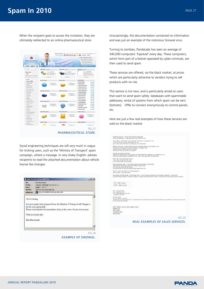# **Spam In 2010** *PAGE 27*

When the recipient goes to access the invitation, they are ultimately redirected to an online pharmaceutical store.



Social engineering techniques are still very much in vogue for tricking users, such as the 'Ministry of Transport' spam campaign, where a message -in very shaky English- advises recipients to read the attached documentation about vehicle license fee changes.

| Dec-<br>Fecha<br>Parac<br>Asunto:<br>Adjuntar: | Rita Macdonald<br>network. Other site as 1844 M. Li-<br><b>HOCE AND YET</b><br>Switch in the exhomobile hee:<br>CAR, DOCUMENTATION.2(p (46,4 KB)                                     |  |
|------------------------------------------------|--------------------------------------------------------------------------------------------------------------------------------------------------------------------------------------|--|
| Good evening                                   |                                                                                                                                                                                      |  |
|                                                | how you maybe have prepared hear, the Ministry of Transport will Changes a<br>fee for your automobile.<br>Please read attached documentation clean, in the cease of save your money. |  |
|                                                | Wish you lucky day!                                                                                                                                                                  |  |
| Eita Mandonald                                 |                                                                                                                                                                                      |  |
|                                                |                                                                                                                                                                                      |  |
|                                                | FIG 28                                                                                                                                                                               |  |
|                                                | <b>EXAMPLE OF SINOWAL.</b>                                                                                                                                                           |  |

Unsurprisingly, the documentation contained no information and was just an example of the notorious Sinowal virus.

Turning to zombies, PandaLabs has seen an average of 340,000 computers 'hijacked' every day. These computers, which form part of a botnet operated by cyber-criminals, are then used to send spam.

These services are offered, via the black market, at prices which are particularly attractive to vendors trying to sell products with no risk.

This service is not new, and is particularly aimed at users that want to send spam safely: databases with spammable addresses; rental of systems from which spam can be sent (botnets); VPNs to connect anonymously to control panels, etc.

Here are just a few real examples of how these services are sold on the black market:



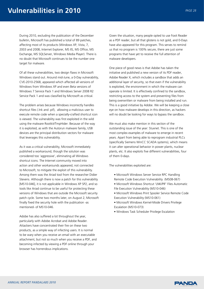During 2010, excluding the publication of the December bulletin, Microsoft has published a total of 89 patches, affecting most of its products (Windows XP, Vista, 7, 2003 and 2008, Internet Explorer, MS IIS, MS Office, MS Exchange, MS SQLServer, Windows Media Player). There is no doubt that Microsoft continues to be the number one target for malware.

Of all these vulnerabilities, two design flaws in Microsoft Windows stand out. Around mid-June, a 0-Day vulnerability, CVE-2010-2568, appeared which affected all versions of Windows from Windows XP and even Beta versions of Windows 7 Service Pack 1 and Windows Server 2008 R2 Service Pack 1 and was classified by Microsoft as critical.

The problem arises because Windows incorrectly handles shortcut files (.lnk and .pif), allowing a malicious user to execute remote code when a specially-crafted shortcut icon is viewed. The vulnerability was first exploited in the wild using the malware Rootkit/TmpHider. Because of the way it is exploited, as with the Autorun malware family, USB devices are the principal distribution vectors for malware that leverages this vulnerability.

As it was a critical vulnerability, Microsoft immediately published a workaround, though the solution was considered too 'aggressive', eliminating all Windows shortcut icons. The Internet community moved into action and other workarounds appeared, not connected to Microsoft, to mitigate the exploit of this vulnerability. Among them was the Ariad tool from the researcher Didier Stevens. Although there is now a patch for this vulnerability [MS10-046], it is not applicable in Windows XP SP2, and so tools like Ariad continue to be useful for protecting these versions of Windows that are outside the Microsoft security patch cycle. Some two months later, on August 2, Microsoft finally fixed the security hole with the publication -as mentioned- of MS10-046.

Adobe has also suffered a lot throughout the year, particularly with Adobe Acrobat and Adobe Reader. Attackers have concentrated their fire on these two products, as a simple way of infecting users. It is normal to be wary when you receive an email with an executable attachment, but not so much when you receive a PDF, and becoming infected by viewing a PDF online through your browser has horrendous implications.

Given the situation, many people opted to use Foxit Reader as a PDF reader, but all that glistens is not gold, and 0-Days have also appeared for this program. This serves to remind us that no program is 100% secure, there are just some programs that have yet to receive the full attention of malware developers.

One piece of good news is that Adobe has taken the initiative and published a new version of its PDF reader, Adobe Reader X, which includes a sandbox that adds an additional layer of security, so that even if the vulnerability is exploited, the environment in which the malware can operate is limited. It is effectively confined to the sandbox, restricting access to the system and preventing files from being overwritten or malware from being installed and run. This is a good initiative by Adobe. We will be keeping a close eye on how malware develops in this direction, as hackers will no doubt be looking for ways to bypass the sandbox.

We must also make mention in this section of the outstanding issue of the year: Stuxnet. This is one of the most complex examples of malware to emerge in recent years. Apart from being able to reprogram industrial PLCs (specifically Siemens WinCC SCADA systems), which means it can alter operational behavior in power plants, nuclear plants, etc. It also exploits five different vulnerabilities, four of them 0-days.

The vulnerabilities exploited are:

- Microsoft Windows Server Service RPC Handling
- Remote Code Execution Vulnerability (MS08-067)
- Microsoft Windows Shortcut 'LNK/PIF' Files Automatic File Execution Vulnerability (MS10-046)
- Microsoft Windows Print Spooler Service Remote Code Execution Vulnerability (MS10-061)
- Microsoft Windows Kernel-Mode Drivers Privilege Escalation (MS10-073)
- Windows Task Scheduler Privilege Escalation

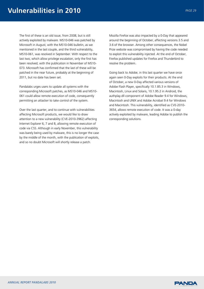The first of these is an old issue, from 2008, but is still actively exploited by malware. MS10-046 was patched by Microsoft in August, with the MS10-046 bulletin, as we mentioned in the last couple, and the third vulnerability, MS10-061, was resolved in September. With respect to the last two, which allow privilege escalation, only the first has been resolved, with the publication in November of MS10- 073. Microsoft has confirmed that the last of these will be patched in the near future, probably at the beginning of 2011, but no date has been set.

Pandalabs urges users to update all systems with the corresponding Microsoft patches, as MS10-046 and MS10- 061 could allow remote execution of code, consequently permitting an attacker to take control of the system.

Over the last quarter, and to continue with vulnerabilities affecting Microsoft products, we would like to draw attention to a new vulnerability (CVE-2010-3962) affecting Internet Explorer 6, 7 and 8, allowing remote execution of code via CSS. Although in early November, this vulnerability was barely being used by malware, this is no longer the case by the middle of the month, with the publication of exploits, and so no doubt Microsoft will shortly release a patch.

Mozilla Firefox was also impacted by a 0-Day that appeared around the beginning of October, affecting versions 3.5 and 3.6 of the browser. Among other consequences, the Nobel Prize website was compromised by having the code needed to exploit this vulnerability injected. At the end of October, Firefox published updates for Firefox and Thunderbird to resolve the problem.

Going back to Adobe, in this last quarter we have once again seen 0-Day exploits for their products. At the end of October, a new 0-Day affected various versions of Adobe Flash Player, specifically 10.1.85.3 in Windows, Macintosh, Linux and Solaris, 10.1.95.2 in Android, the authplay.dll component of Adobe Reader 9.4 for Windows, Macintosh and UNIX and Adobe Acrobat 9.4 for Windows and Macintosh. This vulnerability, identified as CVE-2010- 3654, allows remote execution of code. It was a 0-day actively exploited by malware, leading Adobe to publish the corresponding solutions.

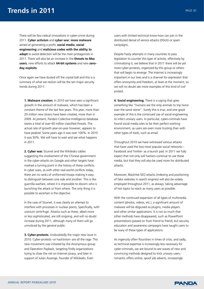There will be few radical innovations in cyber-crime during 2011. **Cyber activism** and **cyber war**; **more malware** aimed at generating a profit, **social media**, **social engineering** and **malicious codes with the ability to adapt** to avoid detection will be the main protagonists in 2011. There will also be an increase in the **threats to Mac users**, new efforts to attack **64-bit systems** and new **zeroday exploits**.

Once again we have dusted off the crystal ball and this is a summary of what we reckon will be the ten major security trends during 2011:

**1. Malware creation.** In 2010 we have seen a significant growth in the amount of malware, which has been a constant theme of the last few years. This year, more than 20 million new strains have been created, more than in 2009. At present, Panda's Collective Intelligence database stores a total of over 60 million classified threats. The actual rate of growth year-on-year however, appears to have peaked: Some years ago it was over 100%. In 2010 it was 50%. We will have to wait and see what happens in 2011.

**2. Cyber war.** Stuxnet and the Wikileaks cables suggesting the involvement of the Chinese government in the cyber-attacks on Google and other targets have marked a turning point in the history of these conflicts. In cyber wars, as with other real-world conflicts today, there are no ranks of uniformed troops making it easy to distinguish between one side and another. This is like guerrilla warfare, where it is impossible to discern who is launching the attack or from where. The only thing it is possible to ascertain is the objective.

In the case of Stuxnet, it was clearly an attempt to interfere with processes in nuclear plants, Specifically, with uranium centrifuge. Attacks such as these, albeit more or less sophisticated, are still ongoing, and will no doubt increase during 2011, although many of them will go unnoticed by the general public.

**3. Cyber-protests.** Undoubtedly the major new issue in 2010. Cyber-protests -or hacktivism- are all the rage. This new movement was initiated by the Anonymous group and Operation Payback, targeting firstly organizations trying to close the net on Internet piracy, and later in support of Julian Assange, founder of Wikileaks. Even

users with limited technical know-how can join in the distributed denial of service attacks (DDoS) or spam campaigns.

Despite hasty attempts in many countries to pass legislation to counter this type of activity, effectively by criminalizing it, we believe that in 2011 there will be yet more cyber-protests, organized by this group or others that will begin to emerge. The Internet is increasingly important in our lives and is a channel for expression that offers anonymity and freedom, at least at the moment, so we will no doubt see more examples of this kind of civil protest.

**4. Social engineering.** There is a saying that goes something like "humans are the only animals to trip twice over the same stone". Surely this is true, and one good example of this is the continued use of social engineering to infect unwary users. In particular, cyber-criminals have found social media sites to be their perfect working environment, as users are even more trusting than with other types of tools, such as email.

Throughout 2010 we have witnessed various attacks that have used the two most popular social networks - Facebook and Twitter- as a launch pad. In 2011 we fully expect that not only will hackers continue to use these media, but that they will also be used more for distributed attacks.

Moreover, BlackHat SEO attacks (indexing and positioning of fake websites in search engines) will also be widely employed throughout 2011, as always, taking advantage of hot topics to reach as many users as possible.

With the continued expansion of all types of multimedia content (photos, videos, etc.), a significant amount of malware will be disguised as plugins, media players and other similar applications. It is not so much that other methods have disappeared, such as PowerPoint presentations passed on from friend to friend, but security education and awareness campaigns have taught users to be wary of these types of applications.

As ingenuity often flourishes in times of crisis, and sadly, as technical expertise is increasingly less necessary for cyber-criminals, we are bound to see waves of new and convincing methods designed to trick unwary users: romantic offers online, spoof job adverts, increasingly

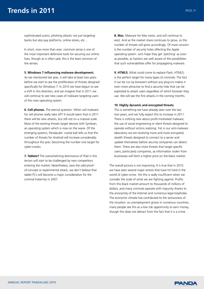sophisticated scams, phishing attacks not just targeting banks but also pay platforms, online stores, etc…

In short, now more than ever, common sense is one of the most important defensive tools for securing our online lives, though as is often said, this is the least common of the senses.

#### **5. Windows 7 influencing malware development.**

As we mentioned last year, it will take at least two years before we start to see the proliferation of threats designed specifically for Windows 7. In 2010 we have begun to see a shift in this direction, and we imagine that in 2011 we will continue to see new cases of malware targeting users of this new operating system.

**6. Cell phones.** The eternal question: When will malware for cell phones really take off? It would seem that in 2011 there will be new attacks, but still not on a massive scale. Most of the existing threats target devices with Symbian, an operating system which is now on the wane. Of the emerging systems, PandaLabs' crystal ball tells us that the number of threats for Android will increase considerably throughout the year, becoming the number one target for cyber-crooks.

**7. Tablets?** The overwhelming dominance of iPad in this terrain will start to be challenged by new competitors entering the market. Nevertheless, save the odd proofof-concept or experimental attack, we don't believe that tablet PCs will become a major consideration for the criminal fraternity in 2007.

**8. Mac.** Malware for Mac exists, and will continue to exist. And as the market share continues to grow, so the number of threats will grow accordingly. Of most concern is the number of security holes affecting the Apple operating system. Let's hope they get 'patching' as soon as possible, as hackers are well aware of the possibilities that such vulnerabilities offer for propagating malware.

**9. HTML5.** What could come to replace Flash, HTML5, is the perfect target for many types of criminals. The fact it can be run by browsers without any plug-ins makes it even more attractive to find a security hole that can be exploited to attack users regardless of which browser they use. We will see the first attacks in the coming months.

#### **10. Highly dynamic and encrypted threats.**

This is something we have already seen over the last two years, and we fully expect this to increase in 2011. There is nothing new about profit-motivated malware, the use of social engineering or silent threats designed to operate without victims realizing. Yet in our anti-malware laboratory we are receiving more and more encrypted, stealth threats designed to connect to a server and update themselves before security companies can detect them. There are also more threats that target specific users, particularly companies, as information stolen from businesses will fetch a higher price on the black market.

The overall picture is not improving. It is true that in 2010 we have seen several major arrests that have hit hard in the world of cyber-crime. Yet this is sadly insufficient when we consider the scale of what we are fighting against. Profits from this black market amount to thousands of millions of dollars, and many criminals operate with impunity thanks to the anonymity of the Internet and numerous legal loopholes. The economic climate has contributed to the seriousness of the situation: as unemployment grows in numerous countries, many people see this as a low risk opportunity to earn money, though this does not detract from the fact that it is a crime.

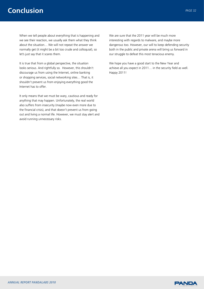# **Conclusion** *PAGE 32*

When we tell people about everything that is happening and we see their reaction, we usually ask them what they think about the situation… We will not repeat the answer we normally get (it might be a bit too crude and colloquial), so let's just say that it scares them.

It is true that from a global perspective, the situation looks serious. And rightfully so. However, this shouldn't discourage us from using the Internet, online banking or shopping services, social networking sites… That is, it shouldn't prevent us from enjoying everything good the Internet has to offer.

It only means that we must be wary, cautious and ready for anything that may happen. Unfortunately, the real world also suffers from insecurity (maybe now even more due to the financial crisis), and that doesn't prevent us from going out and living a normal life. However, we must stay alert and avoid running unnecessary risks.

We are sure that the 2011 year will be much more interesting with regards to malware, and maybe more dangerous too. However, our will to keep defending security both in the public and private arena will bring us forward in our struggle to defeat this most tenacious enemy.

We hope you have a good start to the New Year and achieve all you expect in 2011… in the security field as well. Happy 2011!